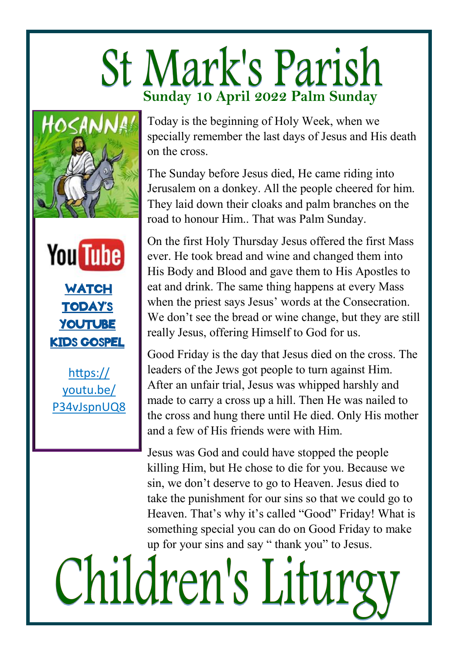## **St Mark's Parish Sunday 10 April 2022 Palm Sunday**





https:// youtu.be/ P34vJspnUQ8

Today is the beginning of Holy Week, when we specially remember the last days of Jesus and His death on the cross.

The Sunday before Jesus died, He came riding into Jerusalem on a donkey. All the people cheered for him. They laid down their cloaks and palm branches on the road to honour Him.. That was Palm Sunday.

On the first Holy Thursday Jesus offered the first Mass ever. He took bread and wine and changed them into His Body and Blood and gave them to His Apostles to eat and drink. The same thing happens at every Mass when the priest says Jesus' words at the Consecration. We don't see the bread or wine change, but they are still really Jesus, offering Himself to God for us.

Good Friday is the day that Jesus died on the cross. The leaders of the Jews got people to turn against Him. After an unfair trial, Jesus was whipped harshly and made to carry a cross up a hill. Then He was nailed to the cross and hung there until He died. Only His mother and a few of His friends were with Him.

Jesus was God and could have stopped the people killing Him, but He chose to die for you. Because we sin, we don't deserve to go to Heaven. Jesus died to take the punishment for our sins so that we could go to Heaven. That's why it's called "Good" Friday! What is something special you can do on Good Friday to make up for your sins and say " thank you" to Jesus.

Children's Liturg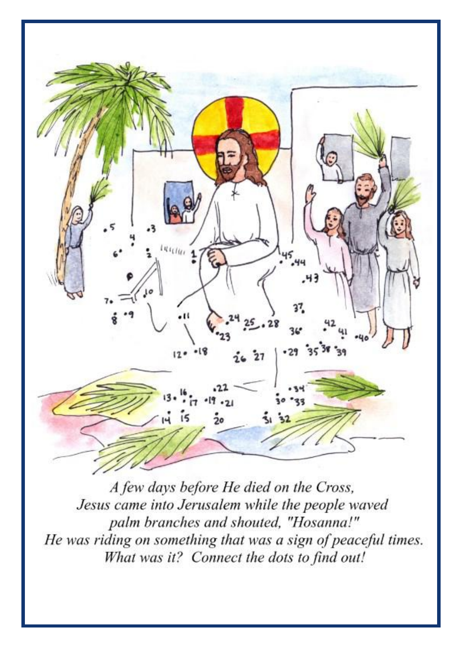

A few days before He died on the Cross, Jesus came into Jerusalem while the people waved palm branches and shouted, "Hosanna!" He was riding on something that was a sign of peaceful times. What was it? Connect the dots to find out!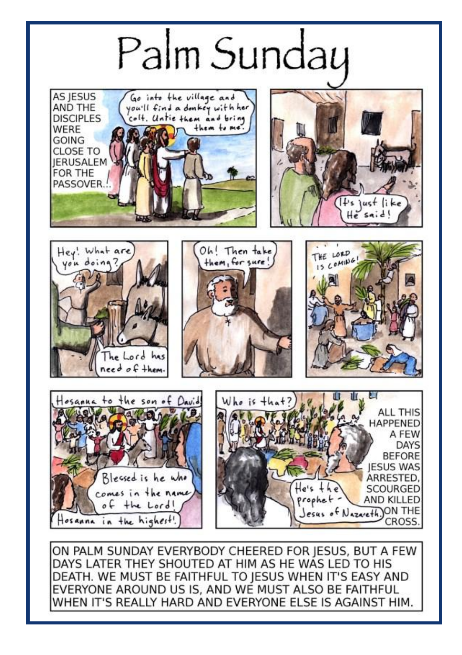

EVERYONE AROUND US IS, AND WE MUST ALSO BE FAITHFUL WHEN IT'S REALLY HARD AND EVERYONE ELSE IS AGAINST HIM.